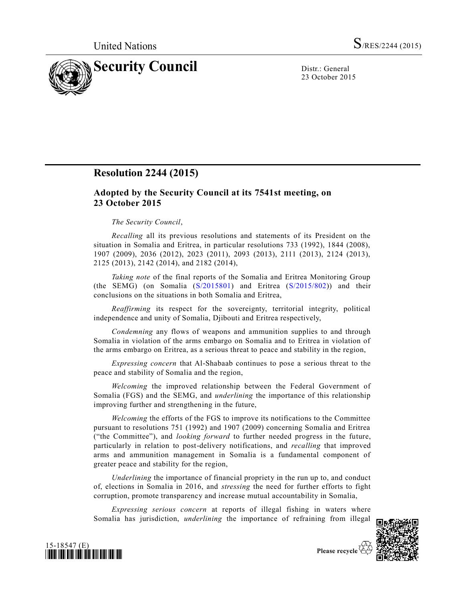

23 October 2015

## **Resolution 2244 (2015)**

## **Adopted by the Security Council at its 7541st meeting, on 23 October 2015**

## *The Security Council*,

*Recalling* all its previous resolutions and statements of its President on the situation in Somalia and Eritrea, in particular resolutions 733 (1992), 1844 (2008), 1907 (2009), 2036 (2012), 2023 (2011), 2093 (2013), 2111 (2013), 2124 (2013), 2125 (2013), 2142 (2014), and 2182 (2014),

*Taking note* of the final reports of the Somalia and Eritrea Monitoring Group (the SEMG) (on Somalia  $(S/2015801)$  and Eritrea  $(S/2015/802)$ ) and their conclusions on the situations in both Somalia and Eritrea,

*Reaffirming* its respect for the sovereignty, territorial integrity, political independence and unity of Somalia, Djibouti and Eritrea respectively,

*Condemning* any flows of weapons and ammunition supplies to and through Somalia in violation of the arms embargo on Somalia and to Eritrea in violation of the arms embargo on Eritrea, as a serious threat to peace and stability in the region,

*Expressing concern* that Al-Shabaab continues to pose a serious threat to the peace and stability of Somalia and the region,

*Welcoming* the improved relationship between the Federal Government of Somalia (FGS) and the SEMG, and *underlining* the importance of this relationship improving further and strengthening in the future,

*Welcoming* the efforts of the FGS to improve its notifications to the Committee pursuant to resolutions 751 (1992) and 1907 (2009) concerning Somalia and Eritrea ("the Committee"), and *looking forward* to further needed progress in the future, particularly in relation to post-delivery notifications, and *recalling* that improved arms and ammunition management in Somalia is a fundamental component of greater peace and stability for the region,

*Underlining* the importance of financial propriety in the run up to, and conduct of, elections in Somalia in 2016, and *stressing* the need for further efforts to fight corruption, promote transparency and increase mutual accountability in Somalia,

*Expressing serious concern* at reports of illegal fishing in waters where Somalia has jurisdiction, *underlining* the importance of refraining from illegal





Please recycle  $\overline{\mathcal{C}}$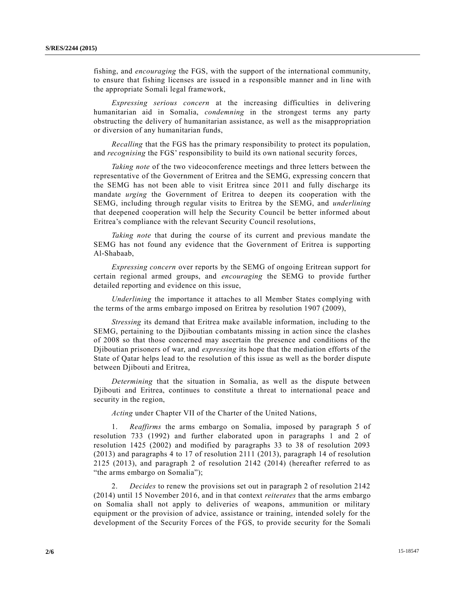fishing, and *encouraging* the FGS, with the support of the international community, to ensure that fishing licenses are issued in a responsible manner and in line with the appropriate Somali legal framework,

*Expressing serious concern* at the increasing difficulties in delivering humanitarian aid in Somalia, *condemning* in the strongest terms any party obstructing the delivery of humanitarian assistance, as well as the misappropriation or diversion of any humanitarian funds,

*Recalling* that the FGS has the primary responsibility to protect its population, and *recognising* the FGS' responsibility to build its own national security forces,

*Taking note* of the two videoconference meetings and three letters between the representative of the Government of Eritrea and the SEMG, expressing concern that the SEMG has not been able to visit Eritrea since 2011 and fully discharge its mandate *urging* the Government of Eritrea to deepen its cooperation with the SEMG, including through regular visits to Eritrea by the SEMG, and *underlining* that deepened cooperation will help the Security Council be better informed about Eritrea's compliance with the relevant Security Council resolutions,

*Taking note* that during the course of its current and previous mandate the SEMG has not found any evidence that the Government of Eritrea is supporting Al-Shabaab,

*Expressing concern* over reports by the SEMG of ongoing Eritrean support for certain regional armed groups, and *encouraging* the SEMG to provide further detailed reporting and evidence on this issue,

*Underlining* the importance it attaches to all Member States complying with the terms of the arms embargo imposed on Eritrea by resolution 1907 (2009),

*Stressing* its demand that Eritrea make available information, including to the SEMG, pertaining to the Djiboutian combatants missing in action since the clashes of 2008 so that those concerned may ascertain the presence and conditions of the Djiboutian prisoners of war, and *expressing* its hope that the mediation efforts of the State of Qatar helps lead to the resolution of this issue as well as the border dispute between Djibouti and Eritrea,

*Determining* that the situation in Somalia, as well as the dispute between Djibouti and Eritrea, continues to constitute a threat to international peace and security in the region,

*Acting* under Chapter VII of the Charter of the United Nations,

1. *Reaffirms* the arms embargo on Somalia, imposed by paragraph 5 of resolution 733 (1992) and further elaborated upon in paragraphs 1 and 2 of resolution 1425 (2002) and modified by paragraphs 33 to 38 of resolution 2093 (2013) and paragraphs 4 to 17 of resolution 2111 (2013), paragraph 14 of resolution 2125 (2013), and paragraph 2 of resolution 2142 (2014) (hereafter referred to as "the arms embargo on Somalia");

2. *Decides* to renew the provisions set out in paragraph 2 of resolution 2142 (2014) until 15 November 2016, and in that context *reiterates* that the arms embargo on Somalia shall not apply to deliveries of weapons, ammunition or military equipment or the provision of advice, assistance or training, intended solely for the development of the Security Forces of the FGS, to provide security for the Somali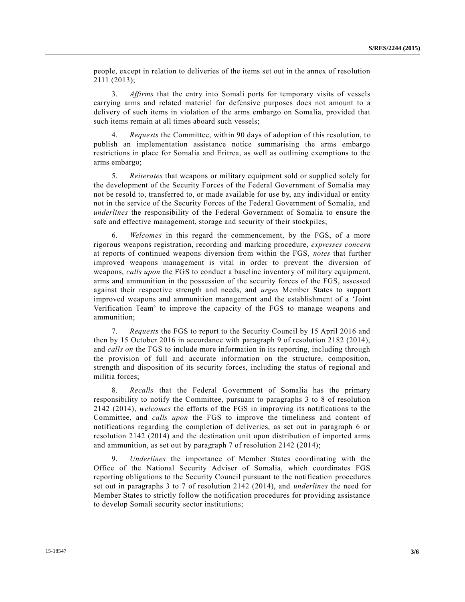people, except in relation to deliveries of the items set out in the annex of resolution 2111 (2013);

3. *Affirms* that the entry into Somali ports for temporary visits of vessels carrying arms and related materiel for defensive purposes does not amount to a delivery of such items in violation of the arms embargo on Somalia, provided that such items remain at all times aboard such vessels;

4. *Requests* the Committee, within 90 days of adoption of this resolution, to publish an implementation assistance notice summarising the arms embargo restrictions in place for Somalia and Eritrea, as well as outlining exemptions to the arms embargo;

5. *Reiterates* that weapons or military equipment sold or supplied solely for the development of the Security Forces of the Federal Government of Somalia may not be resold to, transferred to, or made available for use by, any individual or entity not in the service of the Security Forces of the Federal Government of Somalia, and *underlines* the responsibility of the Federal Government of Somalia to ensure the safe and effective management, storage and security of their stockpiles;

6. *Welcomes* in this regard the commencement, by the FGS, of a more rigorous weapons registration, recording and marking procedure, *expresses concern* at reports of continued weapons diversion from within the FGS, *notes* that further improved weapons management is vital in order to prevent the diversion of weapons, *calls upon* the FGS to conduct a baseline inventory of military equipment, arms and ammunition in the possession of the security forces of the FGS, assessed against their respective strength and needs, and *urges* Member States to support improved weapons and ammunition management and the establishment of a 'Joint Verification Team' to improve the capacity of the FGS to manage weapons and ammunition;

7. *Requests* the FGS to report to the Security Council by 15 April 2016 and then by 15 October 2016 in accordance with paragraph 9 of resolution 2182 (2014), and *calls on* the FGS to include more information in its reporting, including through the provision of full and accurate information on the structure, composition, strength and disposition of its security forces, including the status of regional and militia forces;

8. *Recalls* that the Federal Government of Somalia has the primary responsibility to notify the Committee, pursuant to paragraphs 3 to 8 of resolution 2142 (2014), *welcomes* the efforts of the FGS in improving its notifications to the Committee, and *calls upon* the FGS to improve the timeliness and content of notifications regarding the completion of deliveries, as set out in paragraph 6 or resolution 2142 (2014) and the destination unit upon distribution of imported arms and ammunition, as set out by paragraph 7 of resolution 2142 (2014);

9. *Underlines* the importance of Member States coordinating with the Office of the National Security Adviser of Somalia, which coordinates FGS reporting obligations to the Security Council pursuant to the notification procedures set out in paragraphs 3 to 7 of resolution 2142 (2014), and *underlines* the need for Member States to strictly follow the notification procedures for providing assistance to develop Somali security sector institutions;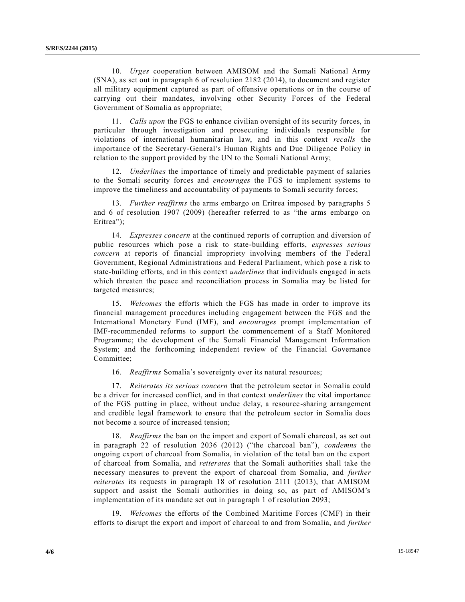10. *Urges* cooperation between AMISOM and the Somali National Army (SNA), as set out in paragraph 6 of resolution 2182 (2014), to document and register all military equipment captured as part of offensive operations or in the course of carrying out their mandates, involving other Security Forces of the Federal Government of Somalia as appropriate;

11. *Calls upon* the FGS to enhance civilian oversight of its security forces, in particular through investigation and prosecuting individuals responsible for violations of international humanitarian law, and in this context *recalls* the importance of the Secretary-General's Human Rights and Due Diligence Policy in relation to the support provided by the UN to the Somali National Army;

12. *Underlines* the importance of timely and predictable payment of salaries to the Somali security forces and *encourages* the FGS to implement systems to improve the timeliness and accountability of payments to Somali security forces;

13. *Further reaffirms* the arms embargo on Eritrea imposed by paragraphs 5 and 6 of resolution 1907 (2009) (hereafter referred to as "the arms embargo on Eritrea");

14. *Expresses concern* at the continued reports of corruption and diversion of public resources which pose a risk to state-building efforts, *expresses serious concern* at reports of financial impropriety involving members of the Federal Government, Regional Administrations and Federal Parliament, which pose a risk to state-building efforts, and in this context *underlines* that individuals engaged in acts which threaten the peace and reconciliation process in Somalia may be listed for targeted measures;

15. *Welcomes* the efforts which the FGS has made in order to improve its financial management procedures including engagement between the FGS and the International Monetary Fund (IMF), and *encourages* prompt implementation of IMF-recommended reforms to support the commencement of a Staff Monitored Programme; the development of the Somali Financial Management Information System; and the forthcoming independent review of the Financial Governance Committee;

16. *Reaffirms* Somalia's sovereignty over its natural resources;

17. *Reiterates its serious concern* that the petroleum sector in Somalia could be a driver for increased conflict, and in that context *underlines* the vital importance of the FGS putting in place, without undue delay, a resource-sharing arrangement and credible legal framework to ensure that the petroleum sector in Somalia does not become a source of increased tension;

18. *Reaffirms* the ban on the import and export of Somali charcoal, as set out in paragraph 22 of resolution 2036 (2012) ("the charcoal ban"), *condemns* the ongoing export of charcoal from Somalia, in violation of the total ban on the export of charcoal from Somalia, and *reiterates* that the Somali authorities shall take the necessary measures to prevent the export of charcoal from Somalia, and *further reiterates* its requests in paragraph 18 of resolution 2111 (2013), that AMISOM support and assist the Somali authorities in doing so, as part of AMISOM's implementation of its mandate set out in paragraph 1 of resolution 2093;

19. *Welcomes* the efforts of the Combined Maritime Forces (CMF) in their efforts to disrupt the export and import of charcoal to and from Somalia, and *further*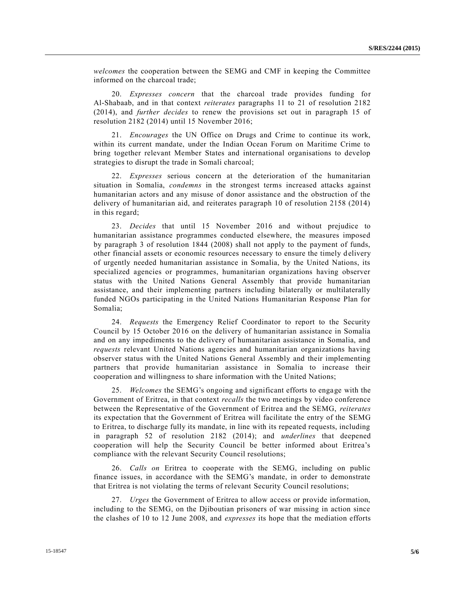*welcomes* the cooperation between the SEMG and CMF in keeping the Committee informed on the charcoal trade;

20. *Expresses concern* that the charcoal trade provides funding for Al-Shabaab, and in that context *reiterates* paragraphs 11 to 21 of resolution 2182 (2014), and *further decides* to renew the provisions set out in paragraph 15 of resolution 2182 (2014) until 15 November 2016;

21. *Encourages* the UN Office on Drugs and Crime to continue its work, within its current mandate, under the Indian Ocean Forum on Maritime Crime to bring together relevant Member States and international organisations to develop strategies to disrupt the trade in Somali charcoal;

22. *Expresses* serious concern at the deterioration of the humanitarian situation in Somalia, *condemns* in the strongest terms increased attacks against humanitarian actors and any misuse of donor assistance and the obstruction of the delivery of humanitarian aid, and reiterates paragraph 10 of resolution 2158 (2014) in this regard;

23. *Decides* that until 15 November 2016 and without prejudice to humanitarian assistance programmes conducted elsewhere, the measures imposed by paragraph 3 of resolution 1844 (2008) shall not apply to the payment of funds, other financial assets or economic resources necessary to ensure the timely d elivery of urgently needed humanitarian assistance in Somalia, by the United Nations, its specialized agencies or programmes, humanitarian organizations having observer status with the United Nations General Assembly that provide humanitarian assistance, and their implementing partners including bilaterally or multilaterally funded NGOs participating in the United Nations Humanitarian Response Plan for Somalia;

24. *Requests* the Emergency Relief Coordinator to report to the Security Council by 15 October 2016 on the delivery of humanitarian assistance in Somalia and on any impediments to the delivery of humanitarian assistance in Somalia, and *requests* relevant United Nations agencies and humanitarian organizations having observer status with the United Nations General Assembly and their implementing partners that provide humanitarian assistance in Somalia to increase their cooperation and willingness to share information with the United Nations;

25. *Welcomes* the SEMG's ongoing and significant efforts to engage with the Government of Eritrea, in that context *recalls* the two meetings by video conference between the Representative of the Government of Eritrea and the SEMG, *reiterates* its expectation that the Government of Eritrea will facilitate the entry of the SEMG to Eritrea, to discharge fully its mandate, in line with its repeated requests, including in paragraph 52 of resolution 2182 (2014); and *underlines* that deepened cooperation will help the Security Council be better informed about Eritrea's compliance with the relevant Security Council resolutions;

26. *Calls on* Eritrea to cooperate with the SEMG, including on public finance issues, in accordance with the SEMG's mandate, in order to demonstrate that Eritrea is not violating the terms of relevant Security Council resolutions;

27. *Urges* the Government of Eritrea to allow access or provide information, including to the SEMG, on the Djiboutian prisoners of war missing in action since the clashes of 10 to 12 June 2008, and *expresses* its hope that the mediation efforts